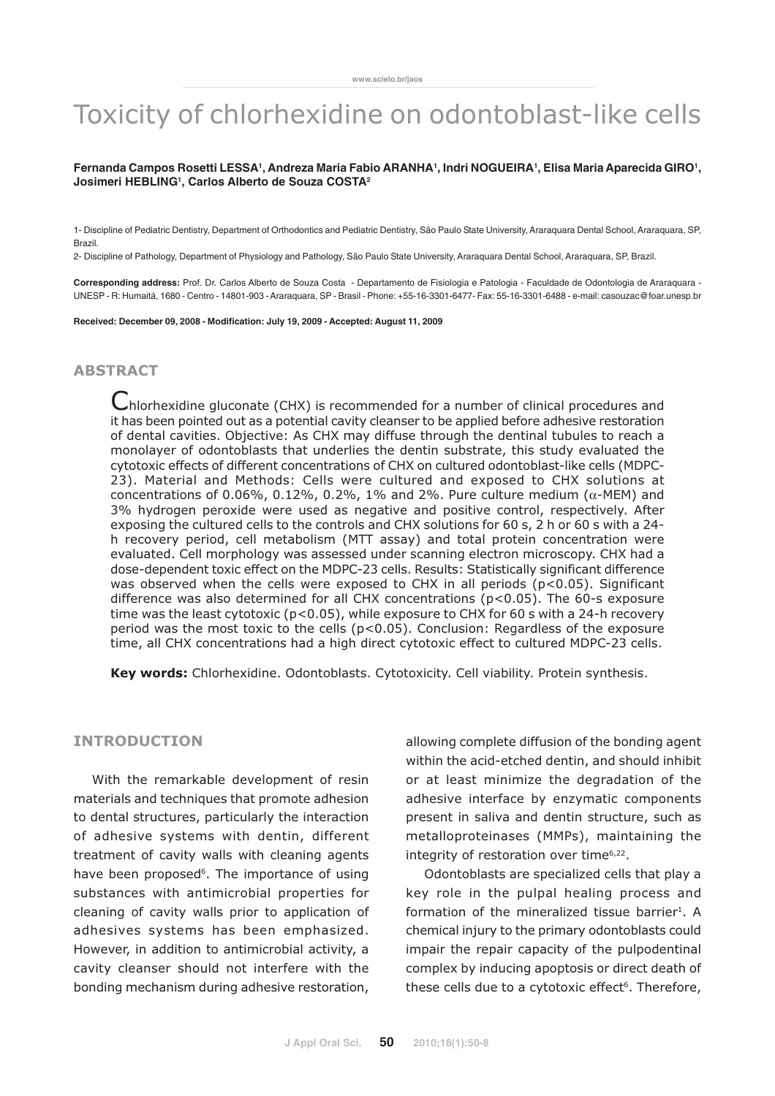# Toxicity of chlorhexidine on odontoblast-like cells

#### Fernanda Campos Rosetti LESSA<sup>1</sup>, Andreza Maria Fabio ARANHA', Indri NOGUEIRA', Elisa Maria Aparecida GIRO', **Josimeri HEBLING1 , Carlos Alberto de Souza COSTA2**

1- Discipline of Pediatric Dentistry, Department of Orthodontics and Pediatric Dentistry, São Paulo State University, Araraquara Dental School, Araraquara, SP, Brazil.

2- Discipline of Pathology, Department of Physiology and Pathology, São Paulo State University, Araraquara Dental School, Araraquara, SP, Brazil.

**Corresponding address:** Prof. Dr. Carlos Alberto de Souza Costa - Departamento de Fisiologia e Patologia - Faculdade de Odontologia de Araraquara - UNESP - R: Humaitá, 1680 - Centro - 14801-903 - Araraquara, SP - Brasil - Phone: +55-16-3301-6477- Fax: 55-16-3301-6488 - e-mail: casouzac@foar.unesp.br

**Received: December 09, 2008 - Modification: July 19, 2009 - Accepted: August 11, 2009**

## **ARSTRACT**

C hlorhexidine gluconate (CHX) is recommended for a number of clinical procedures and it has been pointed out as a potential cavity cleanser to be applied before adhesive restoration of dental cavities. Objective: As CHX may diffuse through the dentinal tubules to reach a monolayer of odontoblasts that underlies the dentin substrate, this study evaluated the cytotoxic effects of different concentrations of CHX on cultured odontoblast-like cells (MDPC-23). Material and Methods: Cells were cultured and exposed to CHX solutions at concentrations of 0.06%, 0.12%, 0.2%, 1% and 2%. Pure culture medium (α-MEM) and 3% hydrogen peroxide were used as negative and positive control, respectively. After exposing the cultured cells to the controls and CHX solutions for 60 s, 2 h or 60 s with a 24 h recovery period, cell metabolism (MTT assay) and total protein concentration were evaluated. Cell morphology was assessed under scanning electron microscopy. CHX had a dose-dependent toxic effect on the MDPC-23 cells. Results: Statistically significant difference was observed when the cells were exposed to CHX in all periods (p<0.05). Significant difference was also determined for all CHX concentrations (p<0.05). The 60-s exposure time was the least cytotoxic (p<0.05), while exposure to CHX for 60 s with a 24-h recovery period was the most toxic to the cells (p<0.05). Conclusion: Regardless of the exposure time, all CHX concentrations had a high direct cytotoxic effect to cultured MDPC-23 cells.

Key words: Chlorhexidine. Odontoblasts. Cytotoxicity. Cell viability. Protein synthesis.

#### INTRODUCTION

With the remarkable development of resin materials and techniques that promote adhesion to dental structures, particularly the interaction of adhesive systems with dentin, different treatment of cavity walls with cleaning agents have been proposed<sup>6</sup>. The importance of using substances with antimicrobial properties for cleaning of cavity walls prior to application of adhesives systems has been emphasized. However, in addition to antimicrobial activity, a cavity cleanser should not interfere with the bonding mechanism during adhesive restoration,

allowing complete diffusion of the bonding agent within the acid-etched dentin, and should inhibit or at least minimize the degradation of the adhesive interface by enzymatic components present in saliva and dentin structure, such as metalloproteinases (MMPs), maintaining the integrity of restoration over time<sup>6,22</sup>.

Odontoblasts are specialized cells that play a key role in the pulpal healing process and formation of the mineralized tissue barrier<sup>1</sup>. A chemical injury to the primary odontoblasts could impair the repair capacity of the pulpodentinal complex by inducing apoptosis or direct death of these cells due to a cytotoxic effect<sup>6</sup>. Therefore,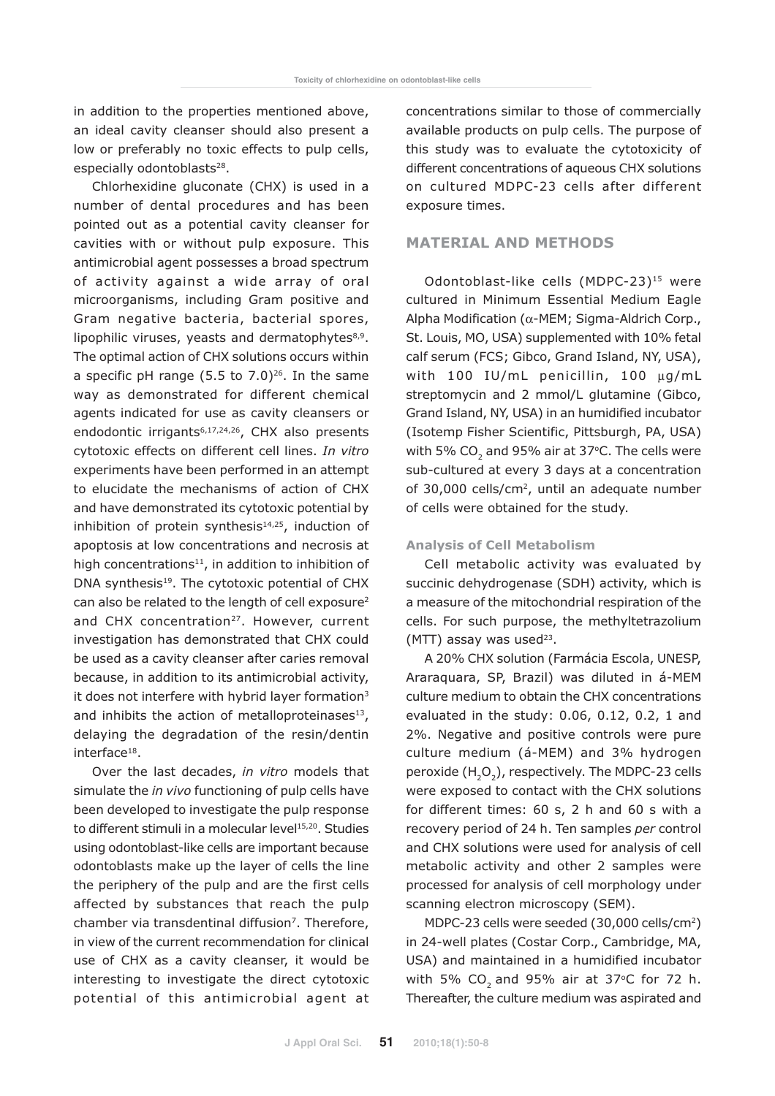in addition to the properties mentioned above, an ideal cavity cleanser should also present a low or preferably no toxic effects to pulp cells, especially odontoblasts<sup>28</sup>.

Chlorhexidine gluconate (CHX) is used in a number of dental procedures and has been pointed out as a potential cavity cleanser for cavities with or without pulp exposure. This antimicrobial agent possesses a broad spectrum of activity against a wide array of oral microorganisms, including Gram positive and Gram negative bacteria, bacterial spores, lipophilic viruses, yeasts and dermatophytes $8,9$ . The optimal action of CHX solutions occurs within a specific pH range  $(5.5 \text{ to } 7.0)^{26}$ . In the same way as demonstrated for different chemical agents indicated for use as cavity cleansers or endodontic irrigants<sup>6,17,24,26</sup>, CHX also presents cytotoxic effects on different cell lines. In vitro experiments have been performed in an attempt to elucidate the mechanisms of action of CHX and have demonstrated its cytotoxic potential by inhibition of protein synthesis $14,25$ , induction of apoptosis at low concentrations and necrosis at high concentrations $11$ , in addition to inhibition of DNA synthesis<sup>19</sup>. The cytotoxic potential of CHX can also be related to the length of cell exposure<sup>2</sup> and CHX concentration<sup>27</sup>. However, current investigation has demonstrated that CHX could be used as a cavity cleanser after caries removal because, in addition to its antimicrobial activity, it does not interfere with hybrid layer formation<sup>3</sup> and inhibits the action of metalloproteinases $13$ , delaying the degradation of the resin/dentin interface<sup>18</sup>.

Over the last decades, in vitro models that simulate the *in vivo* functioning of pulp cells have been developed to investigate the pulp response to different stimuli in a molecular level<sup>15,20</sup>. Studies using odontoblast-like cells are important because odontoblasts make up the layer of cells the line the periphery of the pulp and are the first cells affected by substances that reach the pulp chamber via transdentinal diffusion<sup>7</sup>. Therefore, in view of the current recommendation for clinical use of CHX as a cavity cleanser, it would be interesting to investigate the direct cytotoxic potential of this antimicrobial agent at concentrations similar to those of commercially available products on pulp cells. The purpose of this study was to evaluate the cytotoxicity of different concentrations of aqueous CHX solutions on cultured MDPC-23 cells after different exposure times.

## MATERIAL AND METHODS

Odontoblast-like cells (MDPC-23)<sup>15</sup> were cultured in Minimum Essential Medium Eagle Alpha Modification (α-MEM; Sigma-Aldrich Corp., St. Louis, MO, USA) supplemented with 10% fetal calf serum (FCS; Gibco, Grand Island, NY, USA), with 100 IU/mL penicillin, 100 µg/mL streptomycin and 2 mmol/L glutamine (Gibco, Grand Island, NY, USA) in an humidified incubator (Isotemp Fisher Scientific, Pittsburgh, PA, USA) with 5% CO<sub>2</sub> and 95% air at 37 $\degree$ C. The cells were sub-cultured at every 3 days at a concentration of 30,000 cells/cm<sup>2</sup>, until an adequate number of cells were obtained for the study.

#### Analysis of Cell Metabolism

Cell metabolic activity was evaluated by succinic dehydrogenase (SDH) activity, which is a measure of the mitochondrial respiration of the cells. For such purpose, the methyltetrazolium  $(MTT)$  assay was used<sup>23</sup>.

A 20% CHX solution (Farmácia Escola, UNESP, Araraquara, SP, Brazil) was diluted in á-MEM culture medium to obtain the CHX concentrations evaluated in the study: 0.06, 0.12, 0.2, 1 and 2%. Negative and positive controls were pure culture medium (á-MEM) and 3% hydrogen peroxide  $(H_2O_2)$ , respectively. The MDPC-23 cells were exposed to contact with the CHX solutions for different times: 60 s, 2 h and 60 s with a recovery period of 24 h. Ten samples per control and CHX solutions were used for analysis of cell metabolic activity and other 2 samples were processed for analysis of cell morphology under scanning electron microscopy (SEM).

MDPC-23 cells were seeded (30,000 cells/cm2) in 24-well plates (Costar Corp., Cambridge, MA, USA) and maintained in a humidified incubator with 5% CO<sub>2</sub> and 95% air at 37 $\degree$ C for 72 h. Thereafter, the culture medium was aspirated and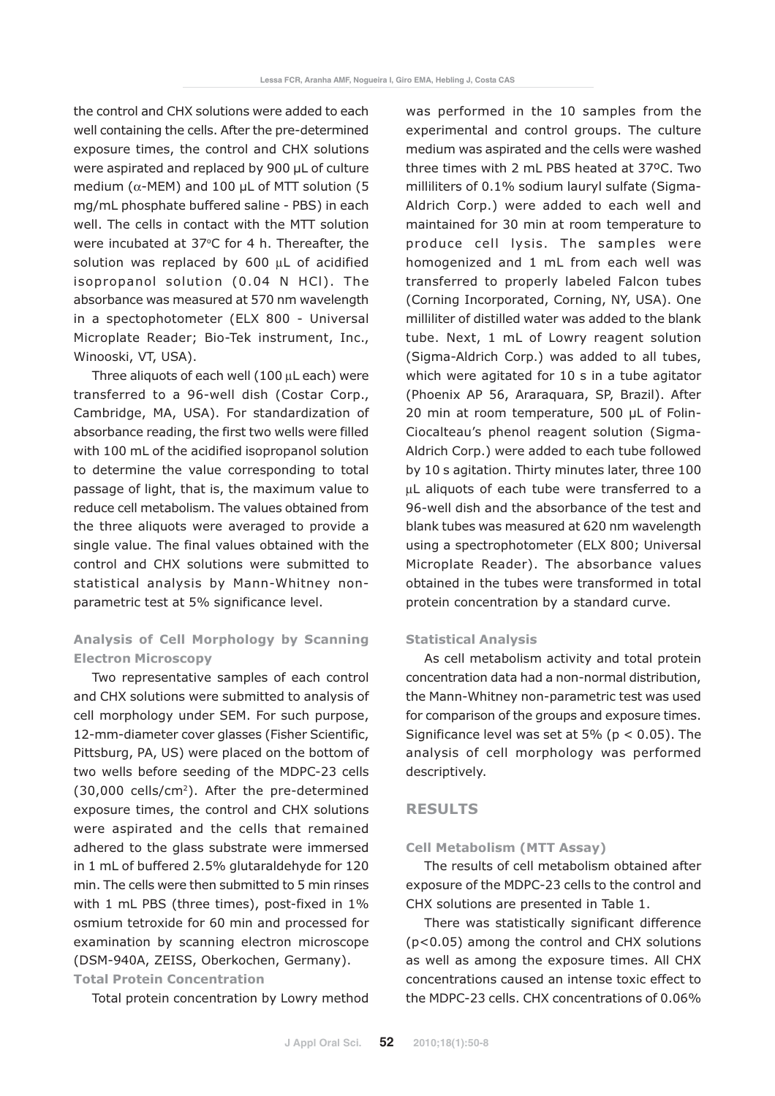the control and CHX solutions were added to each well containing the cells. After the pre-determined exposure times, the control and CHX solutions were aspirated and replaced by 900 µL of culture medium ( $\alpha$ -MEM) and 100 µL of MTT solution (5 mg/mL phosphate buffered saline - PBS) in each well. The cells in contact with the MTT solution were incubated at 37°C for 4 h. Thereafter, the solution was replaced by 600 µL of acidified isopropanol solution (0.04 N HCl). The absorbance was measured at 570 nm wavelength in a spectophotometer (ELX 800 - Universal Microplate Reader; Bio-Tek instrument, Inc., Winooski, VT, USA).

Three aliquots of each well (100 µL each) were transferred to a 96-well dish (Costar Corp., Cambridge, MA, USA). For standardization of absorbance reading, the first two wells were filled with 100 mL of the acidified isopropanol solution to determine the value corresponding to total passage of light, that is, the maximum value to reduce cell metabolism. The values obtained from the three aliquots were averaged to provide a single value. The final values obtained with the control and CHX solutions were submitted to statistical analysis by Mann-Whitney nonparametric test at 5% significance level.

## Analysis of Cell Morphology by Scanning Electron Microscopy

Two representative samples of each control and CHX solutions were submitted to analysis of cell morphology under SEM. For such purpose, 12-mm-diameter cover glasses (Fisher Scientific, Pittsburg, PA, US) were placed on the bottom of two wells before seeding of the MDPC-23 cells (30,000 cells/cm2). After the pre-determined exposure times, the control and CHX solutions were aspirated and the cells that remained adhered to the glass substrate were immersed in 1 mL of buffered 2.5% glutaraldehyde for 120 min. The cells were then submitted to 5 min rinses with 1 mL PBS (three times), post-fixed in 1% osmium tetroxide for 60 min and processed for examination by scanning electron microscope (DSM-940A, ZEISS, Oberkochen, Germany). Total Protein Concentration

Total protein concentration by Lowry method

was performed in the 10 samples from the experimental and control groups. The culture medium was aspirated and the cells were washed three times with 2 mL PBS heated at 37ºC. Two milliliters of 0.1% sodium lauryl sulfate (Sigma-Aldrich Corp.) were added to each well and maintained for 30 min at room temperature to produce cell lysis. The samples were homogenized and 1 mL from each well was transferred to properly labeled Falcon tubes (Corning Incorporated, Corning, NY, USA). One milliliter of distilled water was added to the blank tube. Next, 1 mL of Lowry reagent solution (Sigma-Aldrich Corp.) was added to all tubes, which were agitated for 10 s in a tube agitator (Phoenix AP 56, Araraquara, SP, Brazil). After 20 min at room temperature, 500 µL of Folin-Ciocalteau's phenol reagent solution (Sigma-Aldrich Corp.) were added to each tube followed by 10 s agitation. Thirty minutes later, three 100 µL aliquots of each tube were transferred to a 96-well dish and the absorbance of the test and blank tubes was measured at 620 nm wavelength using a spectrophotometer (ELX 800; Universal Microplate Reader). The absorbance values obtained in the tubes were transformed in total protein concentration by a standard curve.

## Statistical Analysis

As cell metabolism activity and total protein concentration data had a non-normal distribution, the Mann-Whitney non-parametric test was used for comparison of the groups and exposure times. Significance level was set at  $5\%$  ( $p < 0.05$ ). The analysis of cell morphology was performed descriptively.

## RESULTS

#### Cell Metabolism (MTT Assay)

The results of cell metabolism obtained after exposure of the MDPC-23 cells to the control and CHX solutions are presented in Table 1.

There was statistically significant difference (p<0.05) among the control and CHX solutions as well as among the exposure times. All CHX concentrations caused an intense toxic effect to the MDPC-23 cells. CHX concentrations of 0.06%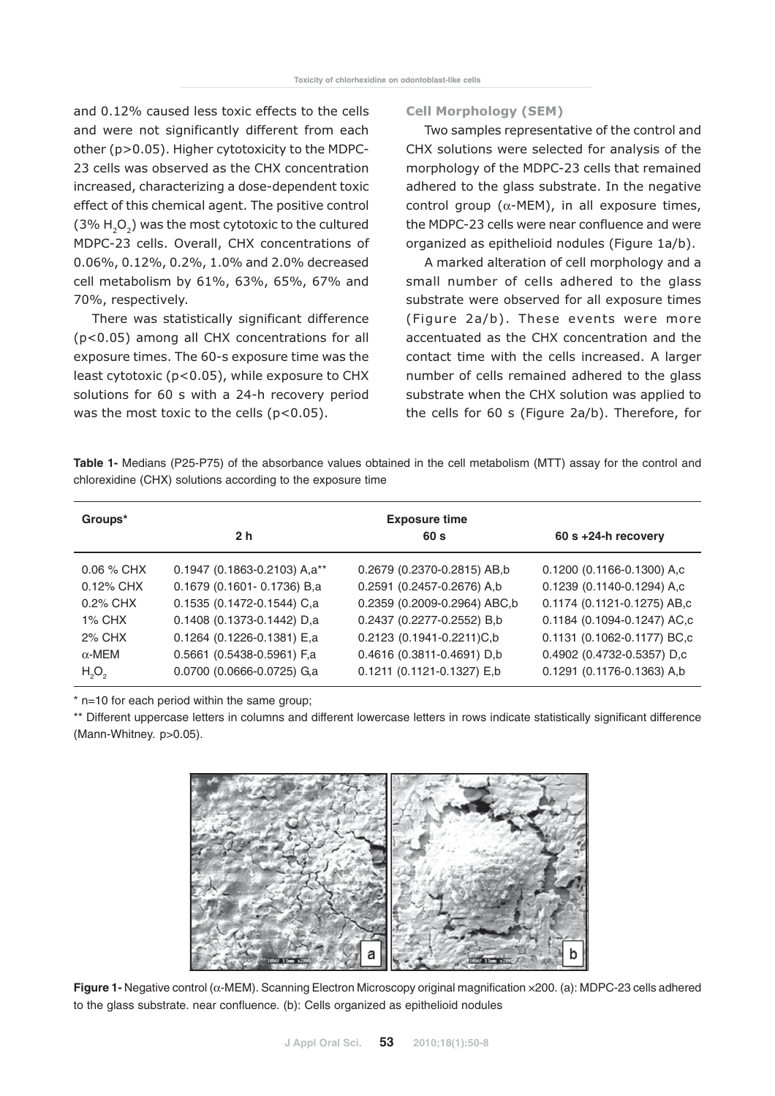and 0.12% caused less toxic effects to the cells and were not significantly different from each other (p>0.05). Higher cytotoxicity to the MDPC-23 cells was observed as the CHX concentration increased, characterizing a dose-dependent toxic effect of this chemical agent. The positive control  $(3\% H_2O_2)$  was the most cytotoxic to the cultured MDPC-23 cells. Overall, CHX concentrations of 0.06%, 0.12%, 0.2%, 1.0% and 2.0% decreased cell metabolism by 61%, 63%, 65%, 67% and 70%, respectively.

There was statistically significant difference (p<0.05) among all CHX concentrations for all exposure times. The 60-s exposure time was the least cytotoxic (p<0.05), while exposure to CHX solutions for 60 s with a 24-h recovery period was the most toxic to the cells  $(p<0.05)$ .

#### Cell Morphology (SEM)

Two samples representative of the control and CHX solutions were selected for analysis of the morphology of the MDPC-23 cells that remained adhered to the glass substrate. In the negative control group ( $\alpha$ -MEM), in all exposure times, the MDPC-23 cells were near confluence and were organized as epithelioid nodules (Figure 1a/b).

A marked alteration of cell morphology and a small number of cells adhered to the glass substrate were observed for all exposure times (Figure 2a/b). These events were more accentuated as the CHX concentration and the contact time with the cells increased. A larger number of cells remained adhered to the glass substrate when the CHX solution was applied to the cells for 60 s (Figure 2a/b). Therefore, for

**Table 1-** Medians (P25-P75) of the absorbance values obtained in the cell metabolism (MTT) assay for the control and chlorexidine (CHX) solutions according to the exposure time

| Groups*                       |                              | <b>Exposure time</b>         |                             |
|-------------------------------|------------------------------|------------------------------|-----------------------------|
|                               | 2 <sub>h</sub>               | 60 <sub>s</sub>              | $60 s + 24-h$ recovery      |
| $0.06\%$ CHX                  | 0.1947 (0.1863-0.2103) A,a** | 0.2679 (0.2370-0.2815) AB,b  | 0.1200 (0.1166-0.1300) A,c  |
| 0.12% CHX                     | 0.1679 (0.1601-0.1736) B,a   | 0.2591 (0.2457-0.2676) A,b   | 0.1239 (0.1140-0.1294) A,c  |
| 0.2% CHX                      | 0.1535 (0.1472-0.1544) C,a   | 0.2359 (0.2009-0.2964) ABC,b | 0.1174 (0.1121-0.1275) AB,c |
| $1\%$ CHX                     | 0.1408 (0.1373-0.1442) D,a   | 0.2437 (0.2277-0.2552) B,b   | 0.1184 (0.1094-0.1247) AC,c |
| 2% CHX                        | 0.1264 (0.1226-0.1381) E,a   | 0.2123 (0.1941-0.2211)C,b    | 0.1131 (0.1062-0.1177) BC,c |
| $\alpha$ -MEM                 | 0.5661 (0.5438-0.5961) F,a   | 0.4616 (0.3811-0.4691) D,b   | 0.4902 (0.4732-0.5357) D,c  |
| H <sub>2</sub> O <sub>2</sub> | 0.0700 (0.0666-0.0725) G,a   | 0.1211 (0.1121-0.1327) E,b   | 0.1291 (0.1176-0.1363) A,b  |

\* n=10 for each period within the same group;

\*\* Different uppercase letters in columns and different lowercase letters in rows indicate statistically significant difference (Mann-Whitney. p>0.05).



**Figure 1-** Negative control (α-MEM). Scanning Electron Microscopy original magnification ×200. (a): MDPC-23 cells adhered to the glass substrate. near confluence. (b): Cells organized as epithelioid nodules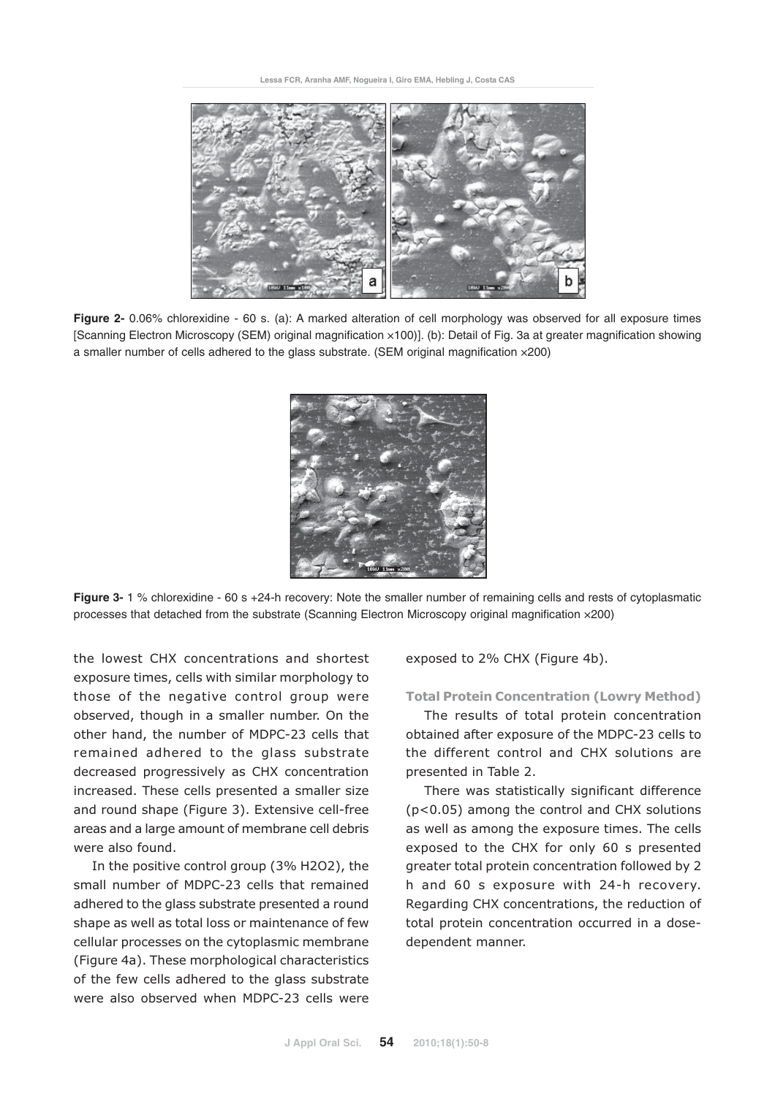**Lessa FCR, Aranha AMF, Nogueira I, Giro EMA, Hebling J, Costa CAS**



**Figure 2-** 0.06% chlorexidine - 60 s. (a): A marked alteration of cell morphology was observed for all exposure times [Scanning Electron Microscopy (SEM) original magnification ×100)]. (b): Detail of Fig. 3a at greater magnification showing a smaller number of cells adhered to the glass substrate. (SEM original magnification ×200)



**Figure 3-** 1 % chlorexidine - 60 s +24-h recovery: Note the smaller number of remaining cells and rests of cytoplasmatic processes that detached from the substrate (Scanning Electron Microscopy original magnification ×200)

the lowest CHX concentrations and shortest exposure times, cells with similar morphology to those of the negative control group were observed, though in a smaller number. On the other hand, the number of MDPC-23 cells that remained adhered to the glass substrate decreased progressively as CHX concentration increased. These cells presented a smaller size and round shape (Figure 3). Extensive cell-free areas and a large amount of membrane cell debris were also found.

In the positive control group (3% H2O2), the small number of MDPC-23 cells that remained adhered to the glass substrate presented a round shape as well as total loss or maintenance of few cellular processes on the cytoplasmic membrane (Figure 4a). These morphological characteristics of the few cells adhered to the glass substrate were also observed when MDPC-23 cells were

exposed to 2% CHX (Figure 4b).

#### Total Protein Concentration (Lowry Method)

The results of total protein concentration obtained after exposure of the MDPC-23 cells to the different control and CHX solutions are presented in Table 2.

There was statistically significant difference (p<0.05) among the control and CHX solutions as well as among the exposure times. The cells exposed to the CHX for only 60 s presented greater total protein concentration followed by 2 h and 60 s exposure with 24-h recovery. Regarding CHX concentrations, the reduction of total protein concentration occurred in a dosedependent manner.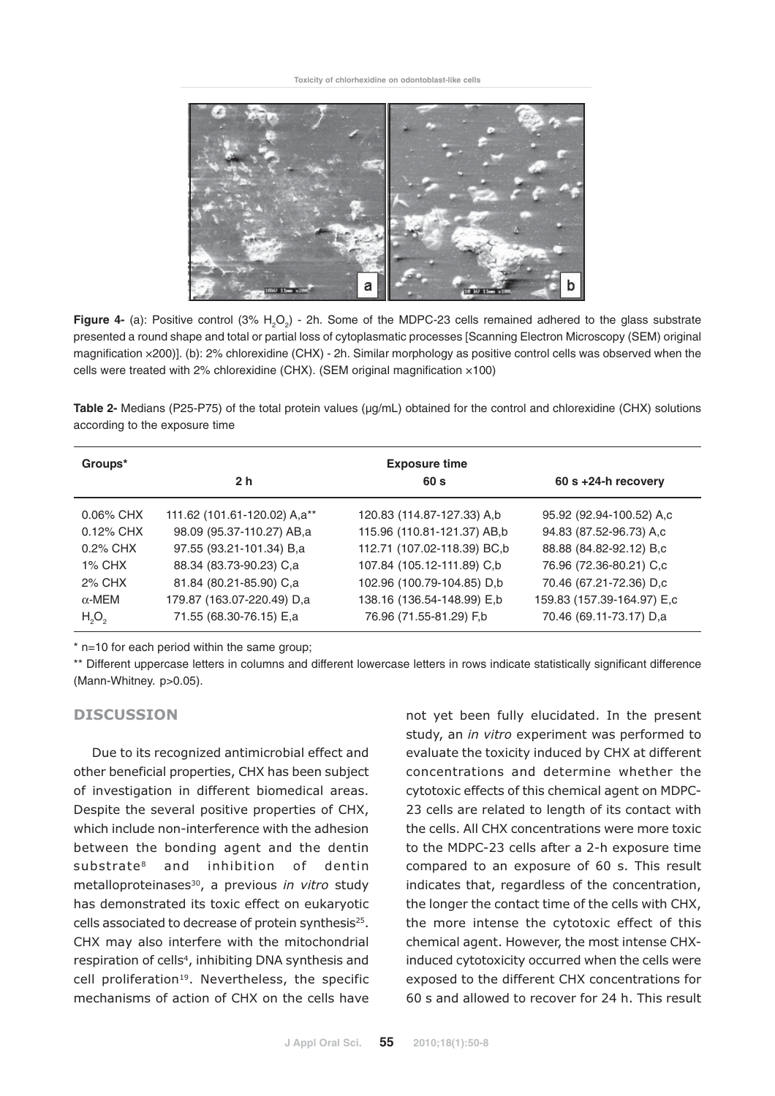

Figure 4- (a): Positive control (3% H<sub>2</sub>O<sub>2</sub>) - 2h. Some of the MDPC-23 cells remained adhered to the glass substrate presented a round shape and total or partial loss of cytoplasmatic processes [Scanning Electron Microscopy (SEM) original magnification ×200)]. (b): 2% chlorexidine (CHX) - 2h. Similar morphology as positive control cells was observed when the cells were treated with 2% chlorexidine (CHX). (SEM original magnification ×100)

**Table 2-** Medians (P25-P75) of the total protein values ( $\mu$ g/mL) obtained for the control and chlorexidine (CHX) solutions according to the exposure time

| Groups*                       |                              | <b>Exposure time</b>        |                            |
|-------------------------------|------------------------------|-----------------------------|----------------------------|
|                               | 2 <sub>h</sub>               | 60 s                        | $60 s + 24-h$ recovery     |
| $0.06\%$ CHX                  | 111.62 (101.61-120.02) A,a** | 120.83 (114.87-127.33) A,b  | 95.92 (92.94-100.52) A,c   |
| $0.12\%$ CHX                  | 98.09 (95.37-110.27) AB,a    | 115.96 (110.81-121.37) AB,b | 94.83 (87.52-96.73) A,c    |
| 0.2% CHX                      | 97.55 (93.21-101.34) B,a     | 112.71 (107.02-118.39) BC,b | 88.88 (84.82-92.12) B,c    |
| $1\%$ CHX                     | 88.34 (83.73-90.23) C,a      | 107.84 (105.12-111.89) C,b  | 76.96 (72.36-80.21) C,c    |
| 2% CHX                        | 81.84 (80.21-85.90) C,a      | 102.96 (100.79-104.85) D,b  | 70.46 (67.21-72.36) D,c    |
| $\alpha$ -MEM                 | 179.87 (163.07-220.49) D,a   | 138.16 (136.54-148.99) E,b  | 159.83 (157.39-164.97) E,c |
| H <sub>2</sub> O <sub>2</sub> | 71.55 (68.30-76.15) E,a      | 76.96 (71.55-81.29) F,b     | 70.46 (69.11-73.17) D,a    |

\* n=10 for each period within the same group;

\*\* Different uppercase letters in columns and different lowercase letters in rows indicate statistically significant difference (Mann-Whitney. p>0.05).

#### DISCUSSION

Due to its recognized antimicrobial effect and other beneficial properties, CHX has been subject of investigation in different biomedical areas. Despite the several positive properties of CHX, which include non-interference with the adhesion between the bonding agent and the dentin substrate8 and inhibition of dentin metalloproteinases<sup>30</sup>, a previous in vitro study has demonstrated its toxic effect on eukaryotic cells associated to decrease of protein synthesis<sup>25</sup>. CHX may also interfere with the mitochondrial respiration of cells<sup>4</sup>, inhibiting DNA synthesis and cell proliferation<sup>19</sup>. Nevertheless, the specific mechanisms of action of CHX on the cells have

not yet been fully elucidated. In the present study, an in vitro experiment was performed to evaluate the toxicity induced by CHX at different concentrations and determine whether the cytotoxic effects of this chemical agent on MDPC-23 cells are related to length of its contact with the cells. All CHX concentrations were more toxic to the MDPC-23 cells after a 2-h exposure time compared to an exposure of 60 s. This result indicates that, regardless of the concentration, the longer the contact time of the cells with CHX, the more intense the cytotoxic effect of this chemical agent. However, the most intense CHXinduced cytotoxicity occurred when the cells were exposed to the different CHX concentrations for 60 s and allowed to recover for 24 h. This result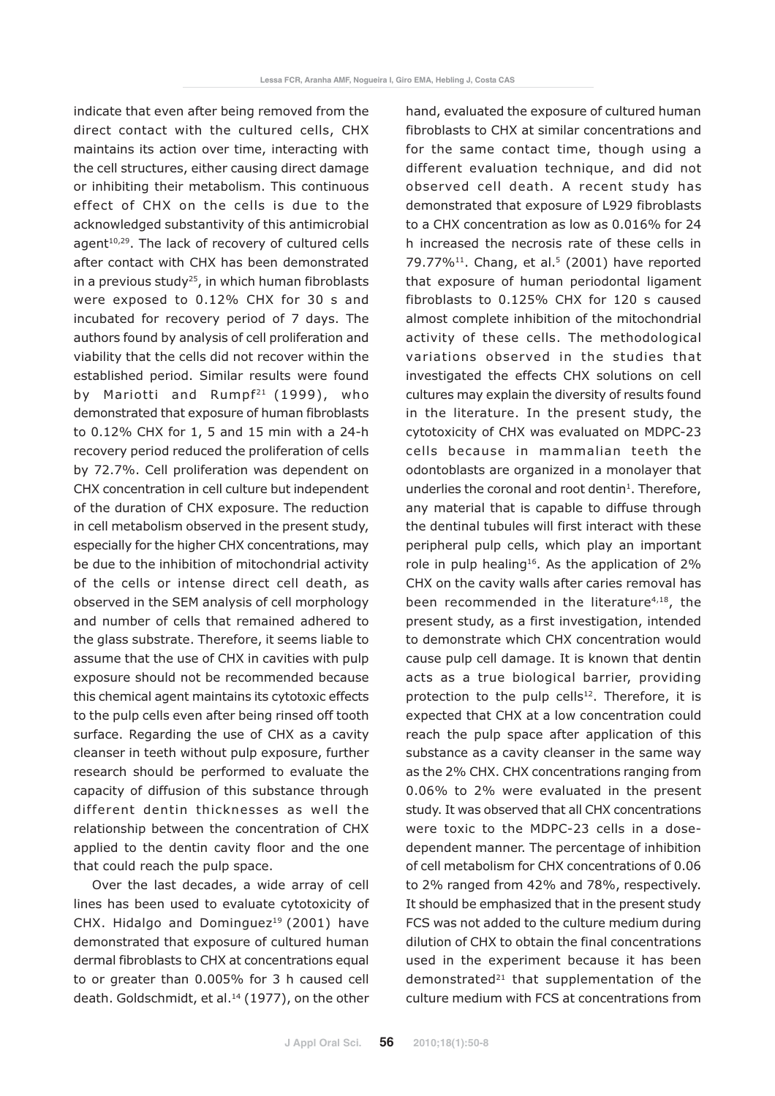indicate that even after being removed from the direct contact with the cultured cells, CHX maintains its action over time, interacting with the cell structures, either causing direct damage or inhibiting their metabolism. This continuous effect of CHX on the cells is due to the acknowledged substantivity of this antimicrobial agent<sup>10,29</sup>. The lack of recovery of cultured cells after contact with CHX has been demonstrated in a previous study<sup>25</sup>, in which human fibroblasts were exposed to 0.12% CHX for 30 s and incubated for recovery period of 7 days. The authors found by analysis of cell proliferation and viability that the cells did not recover within the established period. Similar results were found by Mariotti and Rumpf<sup>21</sup> (1999), who demonstrated that exposure of human fibroblasts to 0.12% CHX for 1, 5 and 15 min with a 24-h recovery period reduced the proliferation of cells by 72.7%. Cell proliferation was dependent on CHX concentration in cell culture but independent of the duration of CHX exposure. The reduction in cell metabolism observed in the present study, especially for the higher CHX concentrations, may be due to the inhibition of mitochondrial activity of the cells or intense direct cell death, as observed in the SEM analysis of cell morphology and number of cells that remained adhered to the glass substrate. Therefore, it seems liable to assume that the use of CHX in cavities with pulp exposure should not be recommended because this chemical agent maintains its cytotoxic effects to the pulp cells even after being rinsed off tooth surface. Regarding the use of CHX as a cavity cleanser in teeth without pulp exposure, further research should be performed to evaluate the capacity of diffusion of this substance through different dentin thicknesses as well the relationship between the concentration of CHX applied to the dentin cavity floor and the one that could reach the pulp space.

Over the last decades, a wide array of cell lines has been used to evaluate cytotoxicity of CHX. Hidalgo and Dominguez<sup>19</sup> (2001) have demonstrated that exposure of cultured human dermal fibroblasts to CHX at concentrations equal to or greater than 0.005% for 3 h caused cell death. Goldschmidt, et al.<sup>14</sup> (1977), on the other hand, evaluated the exposure of cultured human fibroblasts to CHX at similar concentrations and for the same contact time, though using a different evaluation technique, and did not observed cell death. A recent study has demonstrated that exposure of L929 fibroblasts to a CHX concentration as low as 0.016% for 24 h increased the necrosis rate of these cells in 79.77% $^{11}$ . Chang, et al.<sup>5</sup> (2001) have reported that exposure of human periodontal ligament fibroblasts to 0.125% CHX for 120 s caused almost complete inhibition of the mitochondrial activity of these cells. The methodological variations observed in the studies that investigated the effects CHX solutions on cell cultures may explain the diversity of results found in the literature. In the present study, the cytotoxicity of CHX was evaluated on MDPC-23 cells because in mammalian teeth the odontoblasts are organized in a monolayer that underlies the coronal and root dentin<sup>1</sup>. Therefore, any material that is capable to diffuse through the dentinal tubules will first interact with these peripheral pulp cells, which play an important role in pulp healing<sup>16</sup>. As the application of  $2\%$ CHX on the cavity walls after caries removal has been recommended in the literature<sup>4,18</sup>, the present study, as a first investigation, intended to demonstrate which CHX concentration would cause pulp cell damage. It is known that dentin acts as a true biological barrier, providing protection to the pulp cells $12$ . Therefore, it is expected that CHX at a low concentration could reach the pulp space after application of this substance as a cavity cleanser in the same way as the 2% CHX. CHX concentrations ranging from 0.06% to 2% were evaluated in the present study. It was observed that all CHX concentrations were toxic to the MDPC-23 cells in a dosedependent manner. The percentage of inhibition of cell metabolism for CHX concentrations of 0.06 to 2% ranged from 42% and 78%, respectively. It should be emphasized that in the present study FCS was not added to the culture medium during dilution of CHX to obtain the final concentrations used in the experiment because it has been demonstrated<sup>21</sup> that supplementation of the culture medium with FCS at concentrations from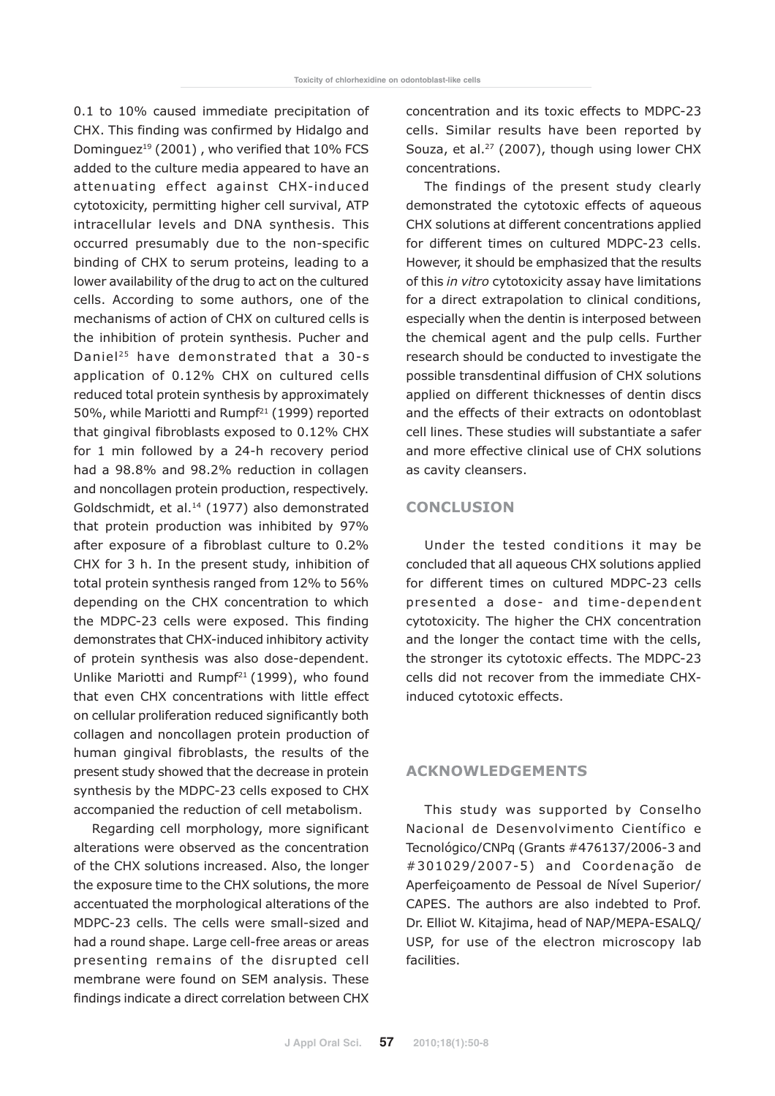0.1 to 10% caused immediate precipitation of CHX. This finding was confirmed by Hidalgo and Dominguez<sup>19</sup> (2001), who verified that 10% FCS added to the culture media appeared to have an attenuating effect against CHX-induced cytotoxicity, permitting higher cell survival, ATP intracellular levels and DNA synthesis. This occurred presumably due to the non-specific binding of CHX to serum proteins, leading to a lower availability of the drug to act on the cultured cells. According to some authors, one of the mechanisms of action of CHX on cultured cells is the inhibition of protein synthesis. Pucher and Daniel<sup>25</sup> have demonstrated that a 30-s application of 0.12% CHX on cultured cells reduced total protein synthesis by approximately 50%, while Mariotti and Rumpf<sup>21</sup> (1999) reported that gingival fibroblasts exposed to 0.12% CHX for 1 min followed by a 24-h recovery period had a 98.8% and 98.2% reduction in collagen and noncollagen protein production, respectively. Goldschmidt, et al.<sup>14</sup> (1977) also demonstrated that protein production was inhibited by 97% after exposure of a fibroblast culture to 0.2% CHX for 3 h. In the present study, inhibition of total protein synthesis ranged from 12% to 56% depending on the CHX concentration to which the MDPC-23 cells were exposed. This finding demonstrates that CHX-induced inhibitory activity of protein synthesis was also dose-dependent. Unlike Mariotti and Rumpf<sup>21</sup> (1999), who found that even CHX concentrations with little effect on cellular proliferation reduced significantly both collagen and noncollagen protein production of human gingival fibroblasts, the results of the present study showed that the decrease in protein synthesis by the MDPC-23 cells exposed to CHX accompanied the reduction of cell metabolism.

Regarding cell morphology, more significant alterations were observed as the concentration of the CHX solutions increased. Also, the longer the exposure time to the CHX solutions, the more accentuated the morphological alterations of the MDPC-23 cells. The cells were small-sized and had a round shape. Large cell-free areas or areas presenting remains of the disrupted cell membrane were found on SEM analysis. These findings indicate a direct correlation between CHX concentration and its toxic effects to MDPC-23 cells. Similar results have been reported by Souza, et al.<sup>27</sup> (2007), though using lower CHX concentrations.

The findings of the present study clearly demonstrated the cytotoxic effects of aqueous CHX solutions at different concentrations applied for different times on cultured MDPC-23 cells. However, it should be emphasized that the results of this in vitro cytotoxicity assay have limitations for a direct extrapolation to clinical conditions, especially when the dentin is interposed between the chemical agent and the pulp cells. Further research should be conducted to investigate the possible transdentinal diffusion of CHX solutions applied on different thicknesses of dentin discs and the effects of their extracts on odontoblast cell lines. These studies will substantiate a safer and more effective clinical use of CHX solutions as cavity cleansers.

## **CONCLUSION**

Under the tested conditions it may be concluded that all aqueous CHX solutions applied for different times on cultured MDPC-23 cells presented a dose- and time-dependent cytotoxicity. The higher the CHX concentration and the longer the contact time with the cells, the stronger its cytotoxic effects. The MDPC-23 cells did not recover from the immediate CHXinduced cytotoxic effects.

## ACKNOWLEDGEMENTS

This study was supported by Conselho Nacional de Desenvolvimento Científico e Tecnológico/CNPq (Grants #476137/2006-3 and #301029/2007-5) and Coordenação de Aperfeiçoamento de Pessoal de Nível Superior/ CAPES. The authors are also indebted to Prof. Dr. Elliot W. Kitajima, head of NAP/MEPA-ESALQ/ USP, for use of the electron microscopy lab facilities.